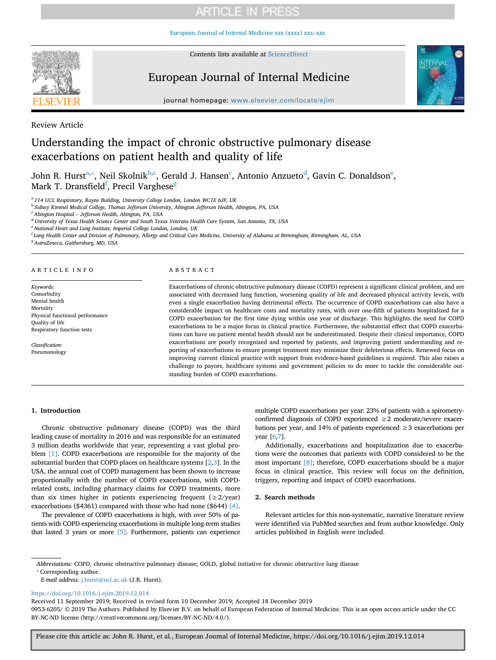# **ARTICLE IN PRESS**

[European Journal of Internal Medicine xxx \(xxxx\) xxx–xxx](https://doi.org/10.1016/j.ejim.2019.12.014)



Contents lists available at [ScienceDirect](http://www.sciencedirect.com/science/journal/09536205)

# European Journal of Internal Medicine



journal homepage: [www.elsevier.com/locate/ejim](https://www.elsevier.com/locate/ejim)

Review Article

# Understanding the impact of chronic obstructive pulmonary disease exacerbations on patient health and quality of life

John R. Hurst $^{\rm a, *},$  Neil Skolnik $^{\rm b, c}$  $^{\rm b, c}$  $^{\rm b, c}$  $^{\rm b, c}$  $^{\rm b, c}$ , Gerald J. Hansen $^{\rm c}$ , Antonio Anzueto $^{\rm d}$ , Gavin C. Donaldson $^{\rm e}$ , Mark T. Dransfield<sup>f</sup>, Precil Varghese<sup>g</sup>

<span id="page-0-0"></span><sup>a</sup> *114 UCL Respiratory, Rayne Building, University College London, London WC1E 6JF, UK*

<span id="page-0-2"></span><sup>b</sup> *Sidney Kimmel Medical College, Thomas Jefferson University, Abington Jefferson Health, Abington, PA, USA*

<span id="page-0-3"></span><sup>c</sup> *Abington Hospital – Jefferson Health, Abington, PA, USA*

<span id="page-0-4"></span><sup>d</sup> *University of Texas Health Science Center and South Texas Veterans Health Care System, San Antonio, TX, USA*

<span id="page-0-5"></span><sup>e</sup> *National Heart and Lung Institute, Imperial College London, London, UK*

<span id="page-0-6"></span>f *Lung Health Center and Division of Pulmonary, Allergy and Critical Care Medicine, University of Alabama at Birmingham, Birmingham, AL, USA*

<span id="page-0-7"></span><sup>g</sup> *AstraZeneca, Gaithersburg, MD, USA*

#### ARTICLE INFO

*Keywords:* Comorbidity Mental health Mortality Physical functional performance Quality of life Respiratory function tests

*Classification:* Pneumonology

#### ABSTRACT

Exacerbations of chronic obstructive pulmonary disease (COPD) represent a significant clinical problem, and are associated with decreased lung function, worsening quality of life and decreased physical activity levels, with even a single exacerbation having detrimental effects. The occurrence of COPD exacerbations can also have a considerable impact on healthcare costs and mortality rates, with over one-fifth of patients hospitalized for a COPD exacerbation for the first time dying within one year of discharge. This highlights the need for COPD exacerbations to be a major focus in clinical practice. Furthermore, the substantial effect that COPD exacerbations can have on patient mental health should not be underestimated. Despite their clinical importance, COPD exacerbations are poorly recognized and reported by patients, and improving patient understanding and reporting of exacerbations to ensure prompt treatment may minimize their deleterious effects. Renewed focus on improving current clinical practice with support from evidence-based guidelines is required. This also raises a challenge to payors, healthcare systems and government policies to do more to tackle the considerable outstanding burden of COPD exacerbations.

# **1. Introduction**

Chronic obstructive pulmonary disease (COPD) was the third leading cause of mortality in 2016 and was responsible for an estimated 3 million deaths worldwide that year, representing a vast global problem [\[1\]](#page-4-0). COPD exacerbations are responsible for the majority of the substantial burden that COPD places on healthcare systems [[2](#page-4-1)[,3\]](#page-4-2). In the USA, the annual cost of COPD management has been shown to increase proportionally with the number of COPD exacerbations, with COPDrelated costs, including pharmacy claims for COPD treatments, more than six times higher in patients experiencing frequent ( $\geq 2$ /year) exacerbations (\$4361) compared with those who had none (\$644) [\[4\]](#page-4-3).

The prevalence of COPD exacerbations is high, with over 50% of patients with COPD experiencing exacerbations in multiple long-term studies that lasted 3 years or more [\[5\]](#page-4-4). Furthermore, patients can experience multiple COPD exacerbations per year: 23% of patients with a spirometryconfirmed diagnosis of COPD experienced  $\geq 2$  moderate/severe exacerbations per year, and 14% of patients experienced  $\geq$  3 exacerbations per year [\[6](#page-4-5),[7\]](#page-4-6).

Additionally, exacerbations and hospitalization due to exacerbations were the outcomes that patients with COPD considered to be the most important [\[8\];](#page-4-7) therefore, COPD exacerbations should be a major focus in clinical practice. This review will focus on the definition, triggers, reporting and impact of COPD exacerbations.

# **2. Search methods**

Relevant articles for this non-systematic, narrative literature review were identified via PubMed searches and from author knowledge. Only articles published in English were included.

<span id="page-0-1"></span>*Abbreviations:* COPD, chronic obstructive pulmonary disease; GOLD, global initiative for chronic obstructive lung disease ⁎ Corresponding author.

*E-mail address:* [j.hurst@ucl.ac.uk](mailto:j.hurst@ucl.ac.uk) (J.R. Hurst).

<https://doi.org/10.1016/j.ejim.2019.12.014>

Received 11 September 2019; Received in revised form 10 December 2019; Accepted 18 December 2019

0953-6205/ © 2019 The Authors. Published by Elsevier B.V. on behalf of European Federation of Internal Medicine. This is an open access article under the CC BY-NC-ND license (http://creativecommons.org/licenses/BY-NC-ND/4.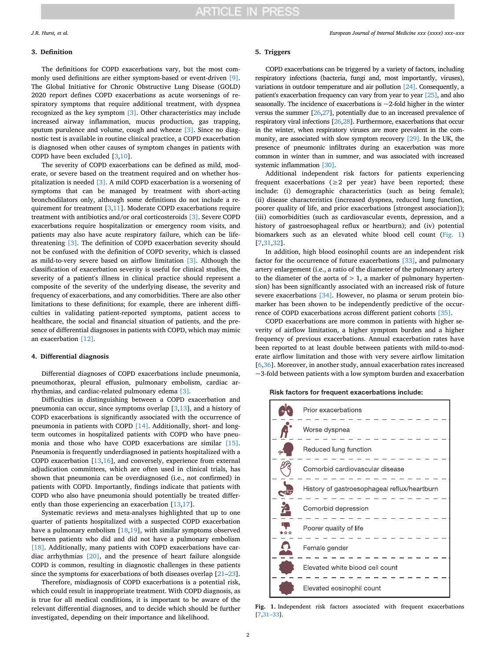#### **3. Definition**

The definitions for COPD exacerbations vary, but the most commonly used definitions are either symptom-based or event-driven [\[9\]](#page-4-8). The Global Initiative for Chronic Obstructive Lung Disease (GOLD) 2020 report defines COPD exacerbations as acute worsenings of respiratory symptoms that require additional treatment, with dyspnea recognized as the key symptom [\[3\].](#page-4-2) Other characteristics may include increased airway inflammation, mucus production, gas trapping, sputum purulence and volume, cough and wheeze [\[3\]](#page-4-2). Since no diagnostic test is available in routine clinical practice, a COPD exacerbation is diagnosed when other causes of symptom changes in patients with COPD have been excluded [[3](#page-4-2)[,10](#page-4-9)].

The severity of COPD exacerbations can be defined as mild, moderate, or severe based on the treatment required and on whether hospitalization is needed [\[3\].](#page-4-2) A mild COPD exacerbation is a worsening of symptoms that can be managed by treatment with short-acting bronchodilators only, although some definitions do not include a requirement for treatment [\[3,](#page-4-2)[11\]](#page-4-10). Moderate COPD exacerbations require treatment with antibiotics and/or oral corticosteroids [\[3\]](#page-4-2). Severe COPD exacerbations require hospitalization or emergency room visits, and patients may also have acute respiratory failure, which can be lifethreatening [\[3\].](#page-4-2) The definition of COPD exacerbation severity should not be confused with the definition of COPD severity, which is classed as mild-to-very severe based on airflow limitation [\[3\].](#page-4-2) Although the classification of exacerbation severity is useful for clinical studies, the severity of a patient's illness in clinical practice should represent a composite of the severity of the underlying disease, the severity and frequency of exacerbations, and any comorbidities. There are also other limitations to these definitions; for example, there are inherent difficulties in validating patient-reported symptoms, patient access to healthcare, the social and financial situation of patients, and the presence of differential diagnoses in patients with COPD, which may mimic an exacerbation [\[12\]](#page-4-11).

## **4. Differential diagnosis**

Differential diagnoses of COPD exacerbations include pneumonia, pneumothorax, pleural effusion, pulmonary embolism, cardiac arrhythmias, and cardiac-related pulmonary edema [\[3\]](#page-4-2).

Difficulties in distinguishing between a COPD exacerbation and pneumonia can occur, since symptoms overlap [[3](#page-4-2),[13\]](#page-4-12), and a history of COPD exacerbations is significantly associated with the occurrence of pneumonia in patients with COPD [\[14\]](#page-4-13). Additionally, short- and longterm outcomes in hospitalized patients with COPD who have pneumonia and those who have COPD exacerbations are similar [\[15\]](#page-4-14). Pneumonia is frequently underdiagnosed in patients hospitalized with a COPD exacerbation [[13,](#page-4-12)[16\]](#page-4-15), and conversely, experience from external adjudication committees, which are often used in clinical trials, has shown that pneumonia can be overdiagnosed (i.e., not confirmed) in patients with COPD. Importantly, findings indicate that patients with COPD who also have pneumonia should potentially be treated differently than those experiencing an exacerbation [\[13](#page-4-12)[,17](#page-4-16)].

Systematic reviews and meta-analyses highlighted that up to one quarter of patients hospitalized with a suspected COPD exacerbation have a pulmonary embolism [[18,](#page-4-17)[19](#page-4-18)], with similar symptoms observed between patients who did and did not have a pulmonary embolism [\[18\]](#page-4-17). Additionally, many patients with COPD exacerbations have cardiac arrhythmias [\[20\]](#page-4-19), and the presence of heart failure alongside COPD is common, resulting in diagnostic challenges in these patients since the symptoms for exacerbations of both diseases overlap [\[21](#page-4-20)[–23](#page-4-21)].

Therefore, misdiagnosis of COPD exacerbations is a potential risk, which could result in inappropriate treatment. With COPD diagnosis, as is true for all medical conditions, it is important to be aware of the relevant differential diagnoses, and to decide which should be further investigated, depending on their importance and likelihood.

#### *J.R. Hurst, et al. European Journal of Internal Medicine xxx (xxxx) xxx–xxx*

#### **5. Triggers**

COPD exacerbations can be triggered by a variety of factors, including respiratory infections (bacteria, fungi and, most importantly, viruses), variations in outdoor temperature and air pollution [\[24\]](#page-4-22). Consequently, a patient's exacerbation frequency can vary from year to year [\[25\]](#page-4-23), and also seasonally. The incidence of exacerbations is  $\sim$  2-fold higher in the winter versus the summer [\[26](#page-4-24)[,27\]](#page-4-25), potentially due to an increased prevalence of respiratory viral infections [\[26,](#page-4-24)[28\]](#page-4-26). Furthermore, exacerbations that occur in the winter, when respiratory viruses are more prevalent in the community, are associated with slow symptom recovery [\[29\].](#page-4-27) In the UK, the presence of pneumonic infiltrates during an exacerbation was more common in winter than in summer, and was associated with increased systemic inflammation [\[30\].](#page-4-28)

Additional independent risk factors for patients experiencing frequent exacerbations ( $\geq 2$  per year) have been reported; these include: (i) demographic characteristics (such as being female); (ii) disease characteristics (increased dyspnea, reduced lung function, poorer quality of life, and prior exacerbations [strongest association]); (iii) comorbidities (such as cardiovascular events, depression, and a history of gastroesophageal reflux or heartburn); and (iv) potential biomarkers such as an elevated white blood cell count ([Fig. 1\)](#page-1-0) [[7](#page-4-6),[31,](#page-4-29)[32\]](#page-4-30).

In addition, high blood eosinophil counts are an independent risk factor for the occurrence of future exacerbations [\[33\],](#page-4-31) and pulmonary artery enlargement (i.e., a ratio of the diameter of the pulmonary artery to the diameter of the aorta of  $> 1$ , a marker of pulmonary hypertension) has been significantly associated with an increased risk of future severe exacerbations [\[34\].](#page-4-32) However, no plasma or serum protein biomarker has been shown to be independently predictive of the occurrence of COPD exacerbations across different patient cohorts [\[35\].](#page-4-33)

COPD exacerbations are more common in patients with higher severity of airflow limitation, a higher symptom burden and a higher frequency of previous exacerbations. Annual exacerbation rates have been reported to at least double between patients with mild-to-moderate airflow limitation and those with very severe airflow limitation [[6](#page-4-5),[36\]](#page-4-34). Moreover, in another study, annual exacerbation rates increased  $\sim$ 3-fold between patients with a low symptom burden and exacerbation

Risk factors for frequent exacerbations include:

<span id="page-1-0"></span>

**Fig. 1.** Independent risk factors associated with frequent exacerbations [[7,](#page-4-6)[31–33](#page-4-29)].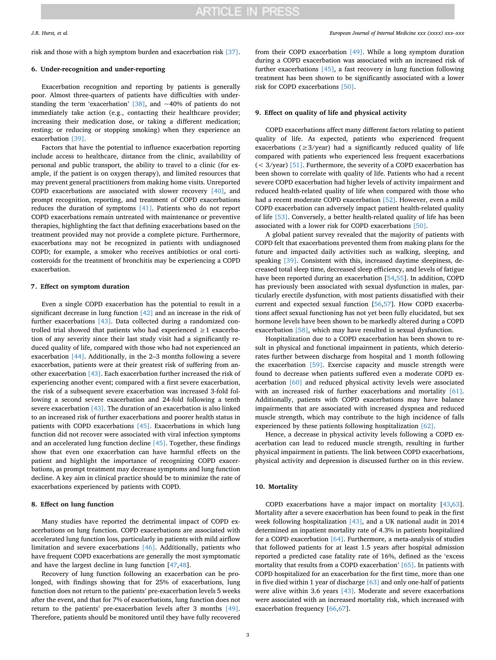risk and those with a high symptom burden and exacerbation risk [\[37\]](#page-4-35).

# **6. Under-recognition and under-reporting**

Exacerbation recognition and reporting by patients is generally poor. Almost three-quarters of patients have difficulties with understanding the term 'exacerbation' [\[38\]](#page-4-36), and ~40% of patients do not immediately take action (e.g., contacting their healthcare provider; increasing their medication dose, or taking a different medication; resting; or reducing or stopping smoking) when they experience an exacerbation [\[39\]](#page-4-37).

Factors that have the potential to influence exacerbation reporting include access to healthcare, distance from the clinic, availability of personal and public transport, the ability to travel to a clinic (for example, if the patient is on oxygen therapy), and limited resources that may prevent general practitioners from making home visits. Unreported COPD exacerbations are associated with slower recovery [\[40\]](#page-4-38), and prompt recognition, reporting, and treatment of COPD exacerbations reduces the duration of symptoms [\[41\].](#page-4-39) Patients who do not report COPD exacerbations remain untreated with maintenance or preventive therapies, highlighting the fact that defining exacerbations based on the treatment provided may not provide a complete picture. Furthermore, exacerbations may not be recognized in patients with undiagnosed COPD; for example, a smoker who receives antibiotics or oral corticosteroids for the treatment of bronchitis may be experiencing a COPD exacerbation.

#### **7. Effect on symptom duration**

Even a single COPD exacerbation has the potential to result in a significant decrease in lung function [\[42\]](#page-4-40) and an increase in the risk of further exacerbations [\[43\]](#page-4-41). Data collected during a randomized controlled trial showed that patients who had experienced  $\geq 1$  exacerbation of any severity since their last study visit had a significantly reduced quality of life, compared with those who had not experienced an exacerbation [\[44\]](#page-4-42). Additionally, in the 2–3 months following a severe exacerbation, patients were at their greatest risk of suffering from another exacerbation [\[43\]](#page-4-41). Each exacerbation further increased the risk of experiencing another event; compared with a first severe exacerbation, the risk of a subsequent severe exacerbation was increased 3-fold following a second severe exacerbation and 24-fold following a tenth severe exacerbation [\[43\].](#page-4-41) The duration of an exacerbation is also linked to an increased risk of further exacerbations and poorer health status in patients with COPD exacerbations [\[45\].](#page-4-43) Exacerbations in which lung function did not recover were associated with viral infection symptoms and an accelerated lung function decline [\[45\]](#page-4-43). Together, these findings show that even one exacerbation can have harmful effects on the patient and highlight the importance of recognizing COPD exacerbations, as prompt treatment may decrease symptoms and lung function decline. A key aim in clinical practice should be to minimize the rate of exacerbations experienced by patients with COPD.

# **8. Effect on lung function**

Many studies have reported the detrimental impact of COPD exacerbations on lung function. COPD exacerbations are associated with accelerated lung function loss, particularly in patients with mild airflow limitation and severe exacerbations [\[46\]](#page-4-44). Additionally, patients who have frequent COPD exacerbations are generally the most symptomatic and have the largest decline in lung function [[47](#page-4-45)[,48](#page-4-46)].

Recovery of lung function following an exacerbation can be prolonged, with findings showing that for 25% of exacerbations, lung function does not return to the patients' pre-exacerbation levels 5 weeks after the event, and that for 7% of exacerbations, lung function does not return to the patients' pre-exacerbation levels after 3 months [\[49\]](#page-4-47). Therefore, patients should be monitored until they have fully recovered from their COPD exacerbation [\[49\].](#page-4-47) While a long symptom duration during a COPD exacerbation was associated with an increased risk of further exacerbations [\[45\]](#page-4-43), a fast recovery in lung function following treatment has been shown to be significantly associated with a lower risk for COPD exacerbations [\[50\]](#page-4-48).

## **9. Effect on quality of life and physical activity**

COPD exacerbations affect many different factors relating to patient quality of life. As expected, patients who experienced frequent exacerbations ( $\geq$ 3/year) had a significantly reduced quality of life compared with patients who experienced less frequent exacerbations  $(<$  3/year) [\[51\].](#page-5-0) Furthermore, the severity of a COPD exacerbation has been shown to correlate with quality of life. Patients who had a recent severe COPD exacerbation had higher levels of activity impairment and reduced health-related quality of life when compared with those who had a recent moderate COPD exacerbation [\[52\]](#page-5-1). However, even a mild COPD exacerbation can adversely impact patient health-related quality of life [\[53\].](#page-5-2) Conversely, a better health-related quality of life has been associated with a lower risk for COPD exacerbations [\[50\].](#page-4-48)

A global patient survey revealed that the majority of patients with COPD felt that exacerbations prevented them from making plans for the future and impacted daily activities such as walking, sleeping, and speaking [\[39\]](#page-4-37). Consistent with this, increased daytime sleepiness, decreased total sleep time, decreased sleep efficiency, and levels of fatigue have been reported during an exacerbation [[54,](#page-5-3)[55](#page-5-4)]. In addition, COPD has previously been associated with sexual dysfunction in males, particularly erectile dysfunction, with most patients dissatisfied with their current and expected sexual function [[56,](#page-5-5)[57\]](#page-5-6). How COPD exacerbations affect sexual functioning has not yet been fully elucidated, but sex hormone levels have been shown to be markedly altered during a COPD exacerbation [\[58\]](#page-5-7), which may have resulted in sexual dysfunction.

Hospitalization due to a COPD exacerbation has been shown to result in physical and functional impairment in patients, which deteriorates further between discharge from hospital and 1 month following the exacerbation [\[59\]](#page-5-8). Exercise capacity and muscle strength were found to decrease when patients suffered even a moderate COPD exacerbation [\[60\]](#page-5-9) and reduced physical activity levels were associated with an increased risk of further exacerbations and mortality [\[61\]](#page-5-10). Additionally, patients with COPD exacerbations may have balance impairments that are associated with increased dyspnea and reduced muscle strength, which may contribute to the high incidence of falls experienced by these patients following hospitalization [\[62\]](#page-5-11).

Hence, a decrease in physical activity levels following a COPD exacerbation can lead to reduced muscle strength, resulting in further physical impairment in patients. The link between COPD exacerbations, physical activity and depression is discussed further on in this review.

# **10. Mortality**

COPD exacerbations have a major impact on mortality [[43,](#page-4-41)[63](#page-5-12)]. Mortality after a severe exacerbation has been found to peak in the first week following hospitalization [\[43\]](#page-4-41), and a UK national audit in 2014 determined an inpatient mortality rate of 4.3% in patients hospitalized for a COPD exacerbation [\[64\].](#page-5-13) Furthermore, a meta-analysis of studies that followed patients for at least 1.5 years after hospital admission reported a predicted case fatality rate of 16%, defined as the 'excess mortality that results from a COPD exacerbation' [\[65\]](#page-5-14). In patients with COPD hospitalized for an exacerbation for the first time, more than one in five died within 1 year of discharge [\[63\]](#page-5-12) and only one-half of patients were alive within 3.6 years [\[43\]](#page-4-41). Moderate and severe exacerbations were associated with an increased mortality risk, which increased with exacerbation frequency [\[66](#page-5-15),[67\]](#page-5-16).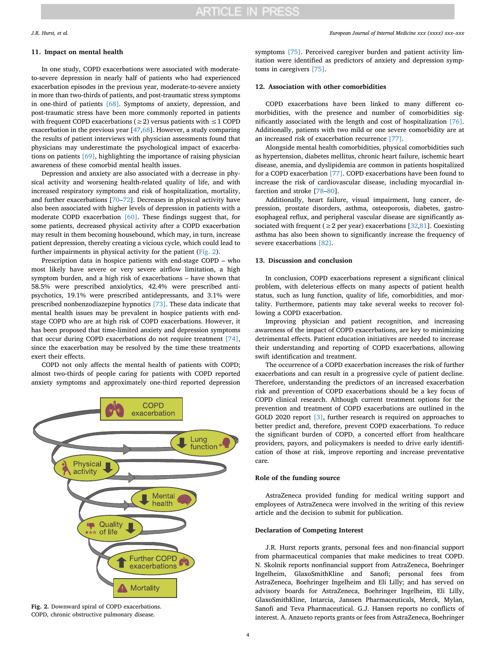#### *J.R. Hurst, et al. European Journal of Internal Medicine xxx (xxxx) xxx–xxx*

### **11. Impact on mental health**

In one study, COPD exacerbations were associated with moderateto-severe depression in nearly half of patients who had experienced exacerbation episodes in the previous year, moderate-to-severe anxiety in more than two-thirds of patients, and post-traumatic stress symptoms in one-third of patients [\[68\].](#page-5-17) Symptoms of anxiety, depression, and post-traumatic stress have been more commonly reported in patients with frequent COPD exacerbations ( $\geq$ 2) versus patients with  $\leq$ 1 COPD exacerbation in the previous year [\[47](#page-4-45)[,68](#page-5-17)]. However, a study comparing the results of patient interviews with physician assessments found that physicians may underestimate the psychological impact of exacerbations on patients [\[69\]](#page-5-18), highlighting the importance of raising physician awareness of these comorbid mental health issues.

Depression and anxiety are also associated with a decrease in physical activity and worsening health-related quality of life, and with increased respiratory symptoms and risk of hospitalization, mortality, and further exacerbations [[70–](#page-5-19)[72\]](#page-5-20). Decreases in physical activity have also been associated with higher levels of depression in patients with a moderate COPD exacerbation [\[60\]](#page-5-9). These findings suggest that, for some patients, decreased physical activity after a COPD exacerbation may result in them becoming housebound, which may, in turn, increase patient depression, thereby creating a vicious cycle, which could lead to further impairments in physical activity for the patient [\(Fig. 2](#page-3-0)).

Prescription data in hospice patients with end-stage COPD – who most likely have severe or very severe airflow limitation, a high symptom burden, and a high risk of exacerbations – have shown that 58.5% were prescribed anxiolytics, 42.4% were prescribed antipsychotics, 19.1% were prescribed antidepressants, and 3.1% were prescribed nonbenzodiazepine hypnotics [\[73\]](#page-5-21). These data indicate that mental health issues may be prevalent in hospice patients with endstage COPD who are at high risk of COPD exacerbations. However, it has been proposed that time-limited anxiety and depression symptoms that occur during COPD exacerbations do not require treatment [\[74\]](#page-5-22), since the exacerbation may be resolved by the time these treatments exert their effects.

COPD not only affects the mental health of patients with COPD; almost two-thirds of people caring for patients with COPD reported anxiety symptoms and approximately one-third reported depression

<span id="page-3-0"></span>

**Fig. 2.** Downward spiral of COPD exacerbations. COPD, chronic obstructive pulmonary disease.

symptoms [\[75\]](#page-5-23). Perceived caregiver burden and patient activity limitation were identified as predictors of anxiety and depression symptoms in caregivers [\[75\]](#page-5-23).

# **12. Association with other comorbidities**

COPD exacerbations have been linked to many different comorbidities, with the presence and number of comorbidities significantly associated with the length and cost of hospitalization [\[76\]](#page-5-24). Additionally, patients with two mild or one severe comorbidity are at an increased risk of exacerbation recurrence [\[77\].](#page-5-25)

Alongside mental health comorbidities, physical comorbidities such as hypertension, diabetes mellitus, chronic heart failure, ischemic heart disease, anemia, and dyslipidemia are common in patients hospitalized for a COPD exacerbation [\[77\].](#page-5-25) COPD exacerbations have been found to increase the risk of cardiovascular disease, including myocardial infarction and stroke [[78–](#page-5-26)[80\]](#page-5-27).

Additionally, heart failure, visual impairment, lung cancer, depression, prostate disorders, asthma, osteoporosis, diabetes, gastroesophageal reflux, and peripheral vascular disease are significantly associated with frequent ( $\geq$  2 per year) exacerbations [\[32](#page-4-30)[,81](#page-5-28)]. Coexisting asthma has also been shown to significantly increase the frequency of severe exacerbations [\[82\]](#page-5-29).

## **13. Discussion and conclusion**

In conclusion, COPD exacerbations represent a significant clinical problem, with deleterious effects on many aspects of patient health status, such as lung function, quality of life, comorbidities, and mortality. Furthermore, patients may take several weeks to recover following a COPD exacerbation.

Improving physician and patient recognition, and increasing awareness of the impact of COPD exacerbations, are key to minimizing detrimental effects. Patient education initiatives are needed to increase their understanding and reporting of COPD exacerbations, allowing swift identification and treatment.

The occurrence of a COPD exacerbation increases the risk of further exacerbations and can result in a progressive cycle of patient decline. Therefore, understanding the predictors of an increased exacerbation risk and prevention of COPD exacerbations should be a key focus of COPD clinical research. Although current treatment options for the prevention and treatment of COPD exacerbations are outlined in the GOLD 2020 report [\[3\]](#page-4-2), further research is required on approaches to better predict and, therefore, prevent COPD exacerbations. To reduce the significant burden of COPD, a concerted effort from healthcare providers, payors, and policymakers is needed to drive early identification of those at risk, improve reporting and increase preventative care*.*

## **Role of the funding source**

AstraZeneca provided funding for medical writing support and employees of AstraZeneca were involved in the writing of this review article and the decision to submit for publication.

### **Declaration of Competing Interest**

J.R. Hurst reports grants, personal fees and non-financial support from pharmaceutical companies that make medicines to treat COPD. N. Skolnik reports nonfinancial support from AstraZeneca, Boehringer Ingelheim, GlaxoSmithKline and Sanofi; personal fees from AstraZeneca, Boehringer Ingelheim and Eli Lilly; and has served on advisory boards for AstraZeneca, Boehringer Ingelheim, Eli Lilly, GlaxoSmithKline, Intarcia, Janssen Pharmaceuticals, Merck, Mylan, Sanofi and Teva Pharmaceutical. G.J. Hansen reports no conflicts of interest. A. Anzueto reports grants or fees from AstraZeneca, Boehringer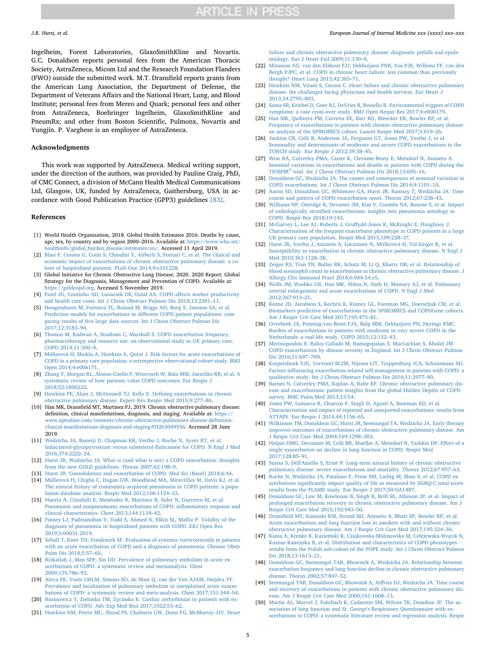Ingelheim, Forest Laboratories, GlaxoSmithKline and Novartis. G.C. Donaldson reports personal fees from the American Thoracic Society, AstraZeneca, Micom Ltd and the Research Foundation Flanders (FWO) outside the submitted work. M.T. Dransfield reports grants from the American Lung Association, the Department of Defense, the Department of Veterans Affairs and the National Heart, Lung, and Blood Institute; personal fees from Mereo and Quark; personal fees and other from AstraZeneca, Boehringer Ingelheim, GlaxoSmithKline and PneumRx; and other from Boston Scientific, Pulmonx, Novartis and Yungjin. P. Varghese is an employee of AstraZeneca.

### **Acknowledgments**

This work was supported by AstraZeneca. Medical writing support, under the direction of the authors, was provided by Pauline Craig, PhD, of CMC Connect, a division of McCann Health Medical Communications Ltd, Glasgow, UK, funded by AstraZeneca, Gaithersburg, USA in accordance with Good Publication Practice (GPP3) guidelines [\[83\].](#page-5-30)

#### **References**

- <span id="page-4-0"></span>[1] World Health Organization, 2018. Global Health Estimates 2016: Deaths by cause, age, sex, by country and by region 2000–2016. Available at: [https://www.who.int/](https://www.who.int/healthinfo/global_burden_disease/estimates/en/) [healthinfo/global\\_burden\\_disease/estimates/en/.](https://www.who.int/healthinfo/global_burden_disease/estimates/en/) Accessed 11 April 2019.
- <span id="page-4-1"></span>[2] [Blasi F, Cesana G, Conti S, Chiodini V, Aliberti S, Fornari C, et al. The clinical and](http://refhub.elsevier.com/S0953-6205(19)30443-1/sbref0001) [economic impact of exacerbations of chronic obstructive pulmonary disease: a co](http://refhub.elsevier.com/S0953-6205(19)30443-1/sbref0001)[hort of hospitalized patients. PLoS One 2014;9:e101228.](http://refhub.elsevier.com/S0953-6205(19)30443-1/sbref0001)
- <span id="page-4-2"></span>[3] Global Initiative for Chronic Obstructive Lung Disease, 2020. 2020 Report: Global Strategy for the Diagnosis, Management and Prevention of COPD. Available at: [https://goldcopd.org.](https://goldcopd.org) Accessed 5 November 2019.
- <span id="page-4-3"></span>[4] [Patel JG, Coutinho AD, Lunacsek OE, Dalal AA. COPD affects worker productivity](http://refhub.elsevier.com/S0953-6205(19)30443-1/sbref0002) [and health care costs. Int J Chron Obstruct Pulmon Dis 2018;13:2301–11.](http://refhub.elsevier.com/S0953-6205(19)30443-1/sbref0002)
- <span id="page-4-4"></span>[5] [Hoogendoorn M, Feenstra TL, Boland M, Briggs AH, Borg S, Jansson SA, et al.](http://refhub.elsevier.com/S0953-6205(19)30443-1/sbref0003) [Prediction models for exacerbations in different COPD patient populations: com](http://refhub.elsevier.com/S0953-6205(19)30443-1/sbref0003)[paring results of five large data sources. Int J Chron Obstruct Pulmon Dis](http://refhub.elsevier.com/S0953-6205(19)30443-1/sbref0003) [2017;12:3183–94.](http://refhub.elsevier.com/S0953-6205(19)30443-1/sbref0003)
- <span id="page-4-5"></span>[6] [Thomas M, Radwan A, Stonham C, Marshall S. COPD exacerbation frequency,](http://refhub.elsevier.com/S0953-6205(19)30443-1/sbref0004) [pharmacotherapy and resource use: an observational study in UK primary care.](http://refhub.elsevier.com/S0953-6205(19)30443-1/sbref0004) [COPD 2014;11:300–9.](http://refhub.elsevier.com/S0953-6205(19)30443-1/sbref0004)
- <span id="page-4-6"></span>[7] [Müllerová H, Shukla A, Hawkins A, Quint J. Risk factors for acute exacerbations of](http://refhub.elsevier.com/S0953-6205(19)30443-1/sbref0005) [COPD in a primary care population: a retrospective observational cohort study. BMJ](http://refhub.elsevier.com/S0953-6205(19)30443-1/sbref0005) [Open 2014;4:e006171.](http://refhub.elsevier.com/S0953-6205(19)30443-1/sbref0005)
- <span id="page-4-7"></span>[8] [Zhang Y, Morgan RL, Alonso-Coello P, Wiercioch W, Bala MM, Jaeschke RR, et al. A](http://refhub.elsevier.com/S0953-6205(19)30443-1/sbref0006) [systematic review of how patients value COPD outcomes. Eur Respir J](http://refhub.elsevier.com/S0953-6205(19)30443-1/sbref0006) [2018;52:1800222.](http://refhub.elsevier.com/S0953-6205(19)30443-1/sbref0006)
- <span id="page-4-8"></span>[9] [Hawkins PE, Alam J, McDonnell TJ, Kelly E. Defining exacerbations in chronic](http://refhub.elsevier.com/S0953-6205(19)30443-1/sbref0007) [obstructive pulmonary disease. Expert Rev Respir Med 2015;9:277–86.](http://refhub.elsevier.com/S0953-6205(19)30443-1/sbref0007)
- <span id="page-4-9"></span>[10] Han MK, Dransfield MT, Martinez FJ, 2019. Chronic obstructive pulmonary disease: definition, clinical manifestations, diagnosis, and staging. Available at: [https://](https://www.uptodate.com/contents/chronic-obstructive-pulmonary-disease-definition-clinical-manifestations-diagnosis-and-staging#H263049556) [www.uptodate.com/contents/chronic-obstructive-pulmonary-disease-definition](https://www.uptodate.com/contents/chronic-obstructive-pulmonary-disease-definition-clinical-manifestations-diagnosis-and-staging#H263049556)[clinical-manifestations-diagnosis-and-staging#H263049556.](https://www.uptodate.com/contents/chronic-obstructive-pulmonary-disease-definition-clinical-manifestations-diagnosis-and-staging#H263049556) Accessed 28 June 2019.
- <span id="page-4-10"></span>[11] Wedzicha JA, Banerii D, Chapman KR, Vestbo J, Roche N, Ayers RT, et al. [Indacaterol-glycopyrronium versus salmeterol-fluticasone for COPD. N Engl J Med](http://refhub.elsevier.com/S0953-6205(19)30443-1/sbref0008) [2016;374:2222–34.](http://refhub.elsevier.com/S0953-6205(19)30443-1/sbref0008)
- <span id="page-4-11"></span>[12] [Hurst JR, Wedzicha JA. What is \(and what is not\) a COPD exacerbation: thoughts](http://refhub.elsevier.com/S0953-6205(19)30443-1/sbref0009) [from the new GOLD guidelines. Thorax 2007;62:198–9.](http://refhub.elsevier.com/S0953-6205(19)30443-1/sbref0009)
- <span id="page-4-12"></span>[13] [Hurst JR. Consolidation and exacerbation of COPD. Med Sci \(Basel\) 2018;6:44.](http://refhub.elsevier.com/S0953-6205(19)30443-1/sbref0010)
- <span id="page-4-13"></span>[14] [Müllerová H, Chigbo C, Hagan GW, Woodhead MA, Miravitlles M, Davis KJ, et al.](http://refhub.elsevier.com/S0953-6205(19)30443-1/sbref0011) [The natural history of community-acquired pneumonia in COPD patients: a popu](http://refhub.elsevier.com/S0953-6205(19)30443-1/sbref0011)[lation database analysis. Respir Med 2012;106:1124–33.](http://refhub.elsevier.com/S0953-6205(19)30443-1/sbref0011)
- <span id="page-4-14"></span>[15] [Huerta A, Crisafulli E, Menéndez R, Martinez R, Soler N, Guerrero M, et al.](http://refhub.elsevier.com/S0953-6205(19)30443-1/sbref0012) [Pneumonic and nonpneumonic exacerbations of COPD: inflammatory response and](http://refhub.elsevier.com/S0953-6205(19)30443-1/sbref0012) [clinical characteristics. Chest 2013;144:1134–42.](http://refhub.elsevier.com/S0953-6205(19)30443-1/sbref0012)
- <span id="page-4-15"></span>[16] [Finney LJ, Padmanaban V, Todd S, Ahmed N, Elkin SL, Mallia P. Validity of the](http://refhub.elsevier.com/S0953-6205(19)30443-1/sbref0013) [diagnosis of pneumonia in hospitalised patients with COPD. ERJ Open Res](http://refhub.elsevier.com/S0953-6205(19)30443-1/sbref0013) [2019;5:00031-2019.](http://refhub.elsevier.com/S0953-6205(19)30443-1/sbref0013)
- <span id="page-4-16"></span>[17] [Scholl T, Kiser TH, Vondracek SF. Evaluation of systemic corticosteroids in patients](http://refhub.elsevier.com/S0953-6205(19)30443-1/sbref0014) [with an acute exacerbation of COPD and a diagnosis of pneumonia. Chronic Obstr](http://refhub.elsevier.com/S0953-6205(19)30443-1/sbref0014) [Pulm Dis 2018;5:57–65.](http://refhub.elsevier.com/S0953-6205(19)30443-1/sbref0014)
- <span id="page-4-17"></span>[18] [Rizkallah J, Man SFP, Sin DD. Prevalence of pulmonary embolism in acute ex](http://refhub.elsevier.com/S0953-6205(19)30443-1/sbref0015)[acerbations of COPD: a systematic review and metaanalysis. Chest](http://refhub.elsevier.com/S0953-6205(19)30443-1/sbref0015) [2009;135:786–93.](http://refhub.elsevier.com/S0953-6205(19)30443-1/sbref0015)
- <span id="page-4-18"></span>[19] [Aleva FE, Voets LWLM, Simons SO, de Mast Q, van der Ven AJAM, Heijdra YF.](http://refhub.elsevier.com/S0953-6205(19)30443-1/sbref0016) [Prevalence and localization of pulmonary embolism in unexplained acute exacer](http://refhub.elsevier.com/S0953-6205(19)30443-1/sbref0016)[bations of COPD: a systematic review and meta-analysis. Chest 2017;151:544–54.](http://refhub.elsevier.com/S0953-6205(19)30443-1/sbref0016)
- <span id="page-4-19"></span>[20] [Rusinowicz T, Zielonka TM, Zycinska K. Cardiac arrhythmias in patients with ex](http://refhub.elsevier.com/S0953-6205(19)30443-1/sbref0017)[acerbation of COPD. Adv Exp Med Biol 2017;1022:53–62.](http://refhub.elsevier.com/S0953-6205(19)30443-1/sbref0017)
- <span id="page-4-20"></span>[21] [Hawkins NM, Petrie MC, Jhund PS, Chalmers GW, Dunn FG, McMurray JJV. Heart](http://refhub.elsevier.com/S0953-6205(19)30443-1/sbref0018)

## *J.R. Hurst, et al. European Journal of Internal Medicine xxx (xxxx) xxx–xxx*

[failure and chronic obstructive pulmonary disease: diagnostic pitfalls and epide](http://refhub.elsevier.com/S0953-6205(19)30443-1/sbref0018)[miology. Eur J Heart Fail 2009;11:130–9.](http://refhub.elsevier.com/S0953-6205(19)30443-1/sbref0018)

- [22] [Minasian AG, van den Elshout FJJ, Dekhuijzen PNR, Vos PJE, Willems FF, van den](http://refhub.elsevier.com/S0953-6205(19)30443-1/sbref0019) [Bergh PJPC, et al. COPD in chronic heart failure: less common than previously](http://refhub.elsevier.com/S0953-6205(19)30443-1/sbref0019) [thought? Heart Lung 2013;42:365–71.](http://refhub.elsevier.com/S0953-6205(19)30443-1/sbref0019)
- <span id="page-4-21"></span>[23] [Hawkins NM, Virani S, Ceconi C. Heart failure and chronic obstructive pulmonary](http://refhub.elsevier.com/S0953-6205(19)30443-1/sbref0020) [disease: the challenges facing physicians and health services. Eur Heart J](http://refhub.elsevier.com/S0953-6205(19)30443-1/sbref0020) [2013;34:2795–803.](http://refhub.elsevier.com/S0953-6205(19)30443-1/sbref0020)
- <span id="page-4-22"></span>[24] [Sama SR, Kriebel D, Gore RJ, DeVries R, Rosiello R. Environmental triggers of COPD](http://refhub.elsevier.com/S0953-6205(19)30443-1/sbref0021) [symptoms: a case cross-over study. BMJ Open Respir Res 2017;4:e000179.](http://refhub.elsevier.com/S0953-6205(19)30443-1/sbref0021)
- <span id="page-4-23"></span>[25] [Han MK, Quibrera PM, Carretta EE, Barr RG, Bleecker ER, Bowler RP, et al.](http://refhub.elsevier.com/S0953-6205(19)30443-1/sbref0022) [Frequency of exacerbations in patients with chronic obstructive pulmonary disease:](http://refhub.elsevier.com/S0953-6205(19)30443-1/sbref0022) [an analysis of the SPIROMICS cohort. Lancet Respir Med 2017;5:619–26.](http://refhub.elsevier.com/S0953-6205(19)30443-1/sbref0022)
- <span id="page-4-24"></span>[26] [Jenkins CR, Celli B, Anderson JA, Ferguson GT, Jones PW, Vestbo J, et al.](http://refhub.elsevier.com/S0953-6205(19)30443-1/sbref0023) [Seasonality and determinants of moderate and severe COPD exacerbations in the](http://refhub.elsevier.com/S0953-6205(19)30443-1/sbref0023) [TORCH study. Eur Respir J 2012;39:38–45.](http://refhub.elsevier.com/S0953-6205(19)30443-1/sbref0023)
- <span id="page-4-25"></span>[27] [Wise RA, Calverley PMA, Carter K, Clerisme-Beaty E, Metzdorf N, Anzueto A.](http://refhub.elsevier.com/S0953-6205(19)30443-1/sbref0024) [Seasonal variations in exacerbations and deaths in patients with COPD during the](http://refhub.elsevier.com/S0953-6205(19)30443-1/sbref0024) TIOSPIRⓇ [trial. Int J Chron Obstruct Pulmon Dis 2018;13:605–16.](http://refhub.elsevier.com/S0953-6205(19)30443-1/sbref0024)
- <span id="page-4-26"></span>[28] [Donaldson GC, Wedzicha JA. The causes and consequences of seasonal variation in](http://refhub.elsevier.com/S0953-6205(19)30443-1/sbref0025) [COPD exacerbations. Int J Chron Obstruct Pulmon Dis 2014;9:1101–10.](http://refhub.elsevier.com/S0953-6205(19)30443-1/sbref0025)
- <span id="page-4-27"></span>[29] [Aaron SD, Donaldson GC, Whitmore GA, Hurst JR, Ramsay T, Wedzicha JA. Time](http://refhub.elsevier.com/S0953-6205(19)30443-1/sbref0026) [course and pattern of COPD exacerbation onset. Thorax 2012;67:238–43.](http://refhub.elsevier.com/S0953-6205(19)30443-1/sbref0026)
- <span id="page-4-28"></span>[30] [Williams NP, Ostridge K, Devaster JM, Kim V, Coombs NA, Bourne S, et al. Impact](http://refhub.elsevier.com/S0953-6205(19)30443-1/sbref0027) [of radiologically stratified exacerbations: insights into pneumonia aetiology in](http://refhub.elsevier.com/S0953-6205(19)30443-1/sbref0027) [COPD. Respir Res 2018;19:143.](http://refhub.elsevier.com/S0953-6205(19)30443-1/sbref0027)
- <span id="page-4-29"></span>[31] [McGarvey L, Lee AJ, Roberts J, Gruffydd-Jones K, McKnight E, Haughney J.](http://refhub.elsevier.com/S0953-6205(19)30443-1/sbref0028) [Characterisation of the frequent exacerbator phenotype in COPD patients in a large](http://refhub.elsevier.com/S0953-6205(19)30443-1/sbref0028) [UK primary care population. Respir Med 2015;109:228–37.](http://refhub.elsevier.com/S0953-6205(19)30443-1/sbref0028)
- <span id="page-4-30"></span>[32] [Hurst JR, Vestbo J, Anzueto A, Locantore N, Müllerová H, Tal-Singer R, et al.](http://refhub.elsevier.com/S0953-6205(19)30443-1/sbref0029) [Susceptibility to exacerbation in chronic obstructive pulmonary disease. N Engl J](http://refhub.elsevier.com/S0953-6205(19)30443-1/sbref0029) [Med 2010;363:1128–38.](http://refhub.elsevier.com/S0953-6205(19)30443-1/sbref0029)
- <span id="page-4-31"></span>[33] [Zeiger RS, Tran TN, Butler RK, Schatz M, Li Q, Khatry DB, et al. Relationship of](http://refhub.elsevier.com/S0953-6205(19)30443-1/sbref0030) [blood eosinophil count to exacerbations in chronic obstructive pulmonary disease. J](http://refhub.elsevier.com/S0953-6205(19)30443-1/sbref0030) [Allergy Clin Immunol Pract 2018;6:944-54.e5.](http://refhub.elsevier.com/S0953-6205(19)30443-1/sbref0030)
- <span id="page-4-32"></span>[34] [Wells JM, Washko GR, Han MK, Abbas N, Nath H, Mamary AJ, et al. Pulmonary](http://refhub.elsevier.com/S0953-6205(19)30443-1/sbref0031) [arterial enlargement and acute exacerbations of COPD. N Engl J Med](http://refhub.elsevier.com/S0953-6205(19)30443-1/sbref0031) [2012;367:913–21.](http://refhub.elsevier.com/S0953-6205(19)30443-1/sbref0031)
- <span id="page-4-33"></span>[35] [Keene JD, Jacobson S, Kechris K, Kinney GL, Foreman MG, Doerschuk CM, et al.](http://refhub.elsevier.com/S0953-6205(19)30443-1/sbref0032) [Biomarkers predictive of exacerbations in the SPIROMICS and COPDGene cohorts.](http://refhub.elsevier.com/S0953-6205(19)30443-1/sbref0032) [Am J Respir Crit Care Med 2017;195:473–81.](http://refhub.elsevier.com/S0953-6205(19)30443-1/sbref0032)
- <span id="page-4-34"></span>[36] [Overbeek JA, Penning-van Beest FJA, Balp MM, Dekhuijzen PN, Herings RMC.](http://refhub.elsevier.com/S0953-6205(19)30443-1/sbref0033) [Burden of exacerbations in patients with moderate to very severe COPD in the](http://refhub.elsevier.com/S0953-6205(19)30443-1/sbref0033) [Netherlands: a real-life study. COPD 2015;12:132–43.](http://refhub.elsevier.com/S0953-6205(19)30443-1/sbref0033)
- <span id="page-4-35"></span>[37] [Merinopoulou E, Raluy-Callado M, Ramagopalan S, MacLachlan S, Khalid JM.](http://refhub.elsevier.com/S0953-6205(19)30443-1/sbref0034) [COPD exacerbations by disease severity in England. Int J Chron Obstruct Pulmon](http://refhub.elsevier.com/S0953-6205(19)30443-1/sbref0034) [Dis 2016;11:697–709.](http://refhub.elsevier.com/S0953-6205(19)30443-1/sbref0034)
- <span id="page-4-36"></span>[38] [Korpershoek YJG, Vervoort SCJM, Nijssen LIT, Trappenburg JCA, Schuurmans MJ.](http://refhub.elsevier.com/S0953-6205(19)30443-1/sbref0035) [Factors influencing exacerbation-related self-management in patients with COPD: a](http://refhub.elsevier.com/S0953-6205(19)30443-1/sbref0035) [qualitative study. Int J Chron Obstruct Pulmon Dis 2016;11:2977–90.](http://refhub.elsevier.com/S0953-6205(19)30443-1/sbref0035)
- <span id="page-4-37"></span>[39] [Barnes N, Calverley PMA, Kaplan A, Rabe KF. Chronic obstructive pulmonary dis](http://refhub.elsevier.com/S0953-6205(19)30443-1/sbref0036)[ease and exacerbations: patient insights from the global Hidden Depths of COPD](http://refhub.elsevier.com/S0953-6205(19)30443-1/sbref0036) [survey. BMC Pulm Med 2013;13:54.](http://refhub.elsevier.com/S0953-6205(19)30443-1/sbref0036)
- <span id="page-4-38"></span>[40] [Jones PW, Lamarca R, Chuecos F, Singh D, Agusti A, Bateman ED, et al.](http://refhub.elsevier.com/S0953-6205(19)30443-1/sbref0037) [Characterisation and impact of reported and unreported exacerbations: results from](http://refhub.elsevier.com/S0953-6205(19)30443-1/sbref0037) [ATTAIN. Eur Respir J 2014;44:1156–65.](http://refhub.elsevier.com/S0953-6205(19)30443-1/sbref0037)
- <span id="page-4-39"></span>[41] [Wilkinson TM, Donaldson GC, Hurst JR, Seemungal TA, Wedzicha JA. Early therapy](http://refhub.elsevier.com/S0953-6205(19)30443-1/sbref0038) [improves outcomes of exacerbations of chronic obstructive pulmonary disease. Am](http://refhub.elsevier.com/S0953-6205(19)30443-1/sbref0038) [J Respir Crit Care Med 2004;169:1298–303.](http://refhub.elsevier.com/S0953-6205(19)30443-1/sbref0038)
- <span id="page-4-40"></span>[42] [Halpin DMG, Decramer M, Celli BR, Mueller A, Metzdorf N, Tashkin DP. Effect of a](http://refhub.elsevier.com/S0953-6205(19)30443-1/sbref0039) [single exacerbation on decline in lung function in COPD. Respir Med](http://refhub.elsevier.com/S0953-6205(19)30443-1/sbref0039) [2017;128:85–91.](http://refhub.elsevier.com/S0953-6205(19)30443-1/sbref0039)
- <span id="page-4-41"></span>[43] [Suissa S, Dell'Aniello S, Ernst P. Long-term natural history of chronic obstructive](http://refhub.elsevier.com/S0953-6205(19)30443-1/sbref0040) [pulmonary disease: severe exacerbations and mortality. Thorax 2012;67:957–63.](http://refhub.elsevier.com/S0953-6205(19)30443-1/sbref0040)
- <span id="page-4-42"></span>[44] [Roche N, Wedzicha JA, Patalano F, Frent SM, Larbig M, Shen S, et al. COPD ex](http://refhub.elsevier.com/S0953-6205(19)30443-1/sbref0041)[acerbations significantly impact quality of life as measured by SGRQ-C total score:](http://refhub.elsevier.com/S0953-6205(19)30443-1/sbref0041) [results from the FLAME study. Eur Respir J 2017;50:OA1487.](http://refhub.elsevier.com/S0953-6205(19)30443-1/sbref0041)
- <span id="page-4-43"></span>[45] [Donaldson GC, Law M, Kowlessar B, Singh R, Brill SE, Allinson JP, et al. Impact of](http://refhub.elsevier.com/S0953-6205(19)30443-1/sbref0042) [prolonged exacerbation recovery in chronic obstructive pulmonary disease. Am J](http://refhub.elsevier.com/S0953-6205(19)30443-1/sbref0042) [Respir Crit Care Med 2015;192:943–50.](http://refhub.elsevier.com/S0953-6205(19)30443-1/sbref0042)
- <span id="page-4-44"></span>[46] [Dransfield MT, Kunisaki KM, Strand MJ, Anzueto A, Bhatt SP, Bowler RP, et al.](http://refhub.elsevier.com/S0953-6205(19)30443-1/sbref0043) [Acute exacerbations and lung function loss in smokers with and without chronic](http://refhub.elsevier.com/S0953-6205(19)30443-1/sbref0043) [obstructive pulmonary disease. Am J Respir Crit Care Med 2017;195:324–30.](http://refhub.elsevier.com/S0953-6205(19)30443-1/sbref0043)
- <span id="page-4-45"></span>[47] [Kania A, Krenke R, Kuziemski K, Czajkowska-Malinowska M, Celejewska-Wojcik N,](http://refhub.elsevier.com/S0953-6205(19)30443-1/sbref0044) [Kuznar-Kaminska B, et al. Distribution and characteristics of COPD phenotypes](http://refhub.elsevier.com/S0953-6205(19)30443-1/sbref0044)  [results from the Polish sub-cohort of the POPE study. Int J Chron Obstruct Pulmon](http://refhub.elsevier.com/S0953-6205(19)30443-1/sbref0044) [Dis 2018;13:1613–21.](http://refhub.elsevier.com/S0953-6205(19)30443-1/sbref0044)
- <span id="page-4-46"></span>[48] [Donaldson GC, Seemungal TAR, Bhowmik A, Wedzicha JA. Relationship between](http://refhub.elsevier.com/S0953-6205(19)30443-1/sbref0045) [exacerbation frequency and lung function decline in chronic obstructive pulmonary](http://refhub.elsevier.com/S0953-6205(19)30443-1/sbref0045) [disease. Thorax 2002;57:847–52.](http://refhub.elsevier.com/S0953-6205(19)30443-1/sbref0045)
- <span id="page-4-47"></span>[49] [Seemungal TAR, Donaldson GC, Bhowmik A, Jeffries DJ, Wedzicha JA. Time course](http://refhub.elsevier.com/S0953-6205(19)30443-1/sbref0046) [and recovery of exacerbations in patients with chronic obstructive pulmonary dis](http://refhub.elsevier.com/S0953-6205(19)30443-1/sbref0046)[ease. Am J Respir Crit Care Med 2000;161:1608–13.](http://refhub.elsevier.com/S0953-6205(19)30443-1/sbref0046)
- <span id="page-4-48"></span>[50] [Martin AL, Marvel J, Fahrbach K, Cadarette SM, Wilcox TK, Donohue JF. The as](http://refhub.elsevier.com/S0953-6205(19)30443-1/sbref0047)[sociation of lung function and St. George's Respiratory Questionnaire with ex](http://refhub.elsevier.com/S0953-6205(19)30443-1/sbref0047)[acerbations in COPD: a systematic literature review and regression analysis. Respir](http://refhub.elsevier.com/S0953-6205(19)30443-1/sbref0047)